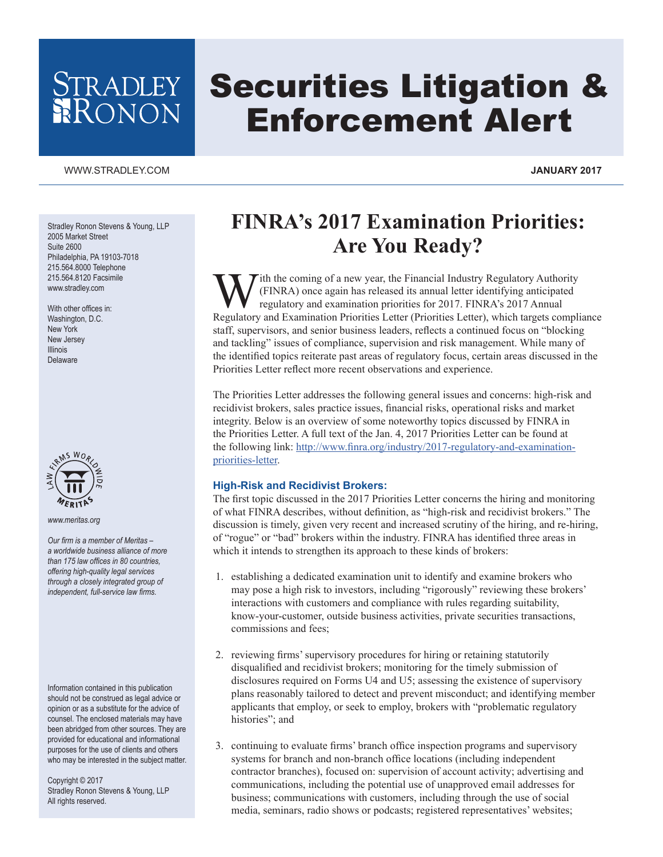# tradley<br>Ronon

## Securities Litigation & Enforcement Alert

#### [WWW.STRADLEY.COM](www.stradley.com) **JANUARY 2017**

Stradley Ronon Stevens & Young, LLP 2005 Market Street Suite 2600 Philadelphia, PA 19103-7018 215.564.8000 Telephone 215.564.8120 Facsimile www.stradley.com

With other offices in: Washington, D.C. New York New Jersey Illinois Delaware



*www.meritas.org*

*Our firm is a member of Meritas – a worldwide business alliance of more than 175 law offices in 80 countries, offering high-quality legal services through a closely integrated group of independent, full-service law firms.*

Information contained in this publication should not be construed as legal advice or opinion or as a substitute for the advice of counsel. The enclosed materials may have been abridged from other sources. They are provided for educational and informational purposes for the use of clients and others who may be interested in the subject matter.

Copyright © 2017 Stradley Ronon Stevens & Young, LLP All rights reserved.

### **FINRA's 2017 Examination Priorities: Are You Ready?**

With the coming of a new year, the Financial Industry Regulatory Authority<br>(FINRA) once again has released its annual letter identifying anticipated<br>regulatory and examination priorities I etter (Priorities Letter) which t (FINRA) once again has released its annual letter identifying anticipated regulatory and examination priorities for 2017. FINRA's 2017 Annual Regulatory and Examination Priorities Letter (Priorities Letter), which targets compliance staff, supervisors, and senior business leaders, reflects a continued focus on "blocking and tackling" issues of compliance, supervision and risk management. While many of the identified topics reiterate past areas of regulatory focus, certain areas discussed in the Priorities Letter reflect more recent observations and experience.

The Priorities Letter addresses the following general issues and concerns: high-risk and recidivist brokers, sales practice issues, financial risks, operational risks and market integrity. Below is an overview of some noteworthy topics discussed by FINRA in the Priorities Letter. A full text of the Jan. 4, 2017 Priorities Letter can be found at the following link: [http://www.finra.org/industry/2017-regulatory-and-examination](http://www.finra.org/industry/2017-regulatory-and-examination-priorities-letter)[priorities-letter](http://www.finra.org/industry/2017-regulatory-and-examination-priorities-letter).

#### **High-Risk and Recidivist Brokers:**

The first topic discussed in the 2017 Priorities Letter concerns the hiring and monitoring of what FINRA describes, without definition, as "high-risk and recidivist brokers." The discussion is timely, given very recent and increased scrutiny of the hiring, and re-hiring, of "rogue" or "bad" brokers within the industry. FINRA has identified three areas in which it intends to strengthen its approach to these kinds of brokers:

- 1. establishing a dedicated examination unit to identify and examine brokers who may pose a high risk to investors, including "rigorously" reviewing these brokers' interactions with customers and compliance with rules regarding suitability, know-your-customer, outside business activities, private securities transactions, commissions and fees;
- 2. reviewing firms' supervisory procedures for hiring or retaining statutorily disqualified and recidivist brokers; monitoring for the timely submission of disclosures required on Forms U4 and U5; assessing the existence of supervisory plans reasonably tailored to detect and prevent misconduct; and identifying member applicants that employ, or seek to employ, brokers with "problematic regulatory histories"; and
- 3. continuing to evaluate firms' branch office inspection programs and supervisory systems for branch and non-branch office locations (including independent contractor branches), focused on: supervision of account activity; advertising and communications, including the potential use of unapproved email addresses for business; communications with customers, including through the use of social media, seminars, radio shows or podcasts; registered representatives' websites;